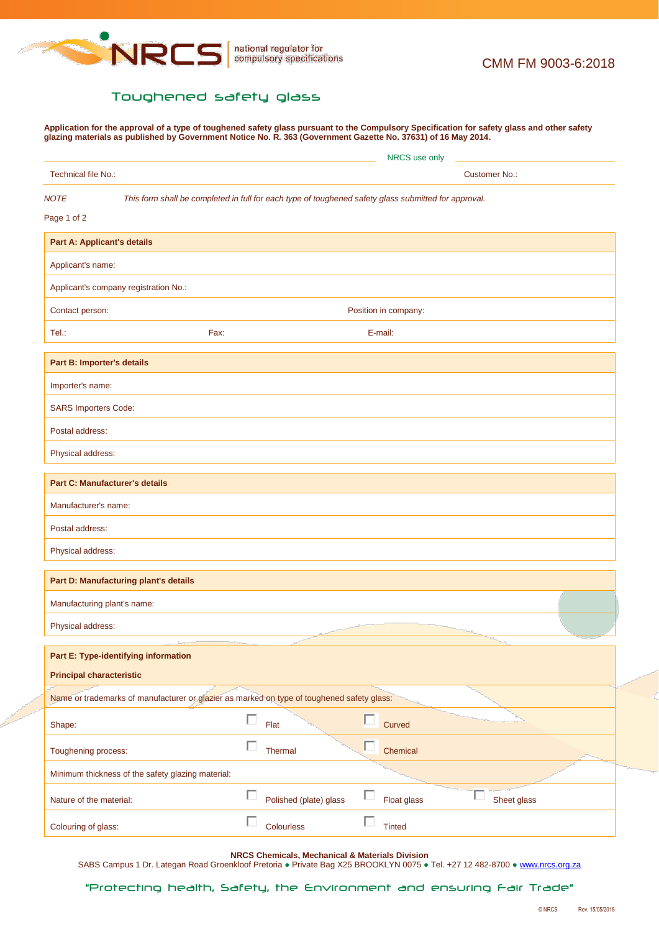

## Toughened safety glass

**Application for the approval of a type of toughened safety glass pursuant to the Compulsory Specification for safety glass and other safety glazing materials as published by Government Notice No. R. 363 (Government Gazette No. 37631) of 16 May 2014.**

|                                    |                                                                                                      | NRCS use only |                        |        |                      |                       |  |  |
|------------------------------------|------------------------------------------------------------------------------------------------------|---------------|------------------------|--------|----------------------|-----------------------|--|--|
| Technical file No.:                |                                                                                                      |               | <b>Customer No.:</b>   |        |                      |                       |  |  |
| <b>NOTE</b>                        | This form shall be completed in full for each type of toughened safety glass submitted for approval. |               |                        |        |                      |                       |  |  |
| Page 1 of 2                        |                                                                                                      |               |                        |        |                      |                       |  |  |
| <b>Part A: Applicant's details</b> |                                                                                                      |               |                        |        |                      |                       |  |  |
| Applicant's name:                  |                                                                                                      |               |                        |        |                      |                       |  |  |
|                                    | Applicant's company registration No.:                                                                |               |                        |        |                      |                       |  |  |
| Contact person:                    |                                                                                                      |               |                        |        | Position in company: |                       |  |  |
| Tel.:                              | Fax:                                                                                                 |               |                        |        | E-mail:              |                       |  |  |
| Part B: Importer's details         |                                                                                                      |               |                        |        |                      |                       |  |  |
| Importer's name:                   |                                                                                                      |               |                        |        |                      |                       |  |  |
| <b>SARS Importers Code:</b>        |                                                                                                      |               |                        |        |                      |                       |  |  |
| Postal address:                    |                                                                                                      |               |                        |        |                      |                       |  |  |
| Physical address:                  |                                                                                                      |               |                        |        |                      |                       |  |  |
|                                    | <b>Part C: Manufacturer's details</b>                                                                |               |                        |        |                      |                       |  |  |
| Manufacturer's name:               |                                                                                                      |               |                        |        |                      |                       |  |  |
| Postal address:                    |                                                                                                      |               |                        |        |                      |                       |  |  |
| Physical address:                  |                                                                                                      |               |                        |        |                      |                       |  |  |
|                                    | Part D: Manufacturing plant's details                                                                |               |                        |        |                      |                       |  |  |
| Manufacturing plant's name:        |                                                                                                      |               |                        |        |                      |                       |  |  |
| Physical address:                  |                                                                                                      |               |                        |        |                      |                       |  |  |
|                                    | Part E: Type-identifying information                                                                 |               |                        |        |                      |                       |  |  |
| <b>Principal characteristic</b>    |                                                                                                      |               |                        |        |                      |                       |  |  |
|                                    | Name or trademarks of manufacturer or glazier as marked on type of toughened safety glass:           |               |                        |        |                      |                       |  |  |
| Shape:                             |                                                                                                      | П             | Flat                   | п.     | Curved               |                       |  |  |
| Toughening process:                |                                                                                                      | П             | Thermal                | $\Box$ | Chemical             |                       |  |  |
|                                    | Minimum thickness of the safety glazing material:                                                    |               |                        |        |                      |                       |  |  |
| Nature of the material:            |                                                                                                      | П             | Polished (plate) glass | п      | Float glass          | $\Box$<br>Sheet glass |  |  |
| Colouring of glass:                |                                                                                                      | П             | Colourless             | п      | <b>Tinted</b>        |                       |  |  |

**NRCS Chemicals, Mechanical & Materials Division**

SABS Campus 1 Dr. Lategan Road Groenkloof Pretoria · Private Bag X25 BROOKLYN 0075 · Tel. +27 12 482-8700 · [www.nrcs.org.za](http://www.nrcs.org.za/)

"Protecting health, Safety, the Environment and ensuring Fair Trade"